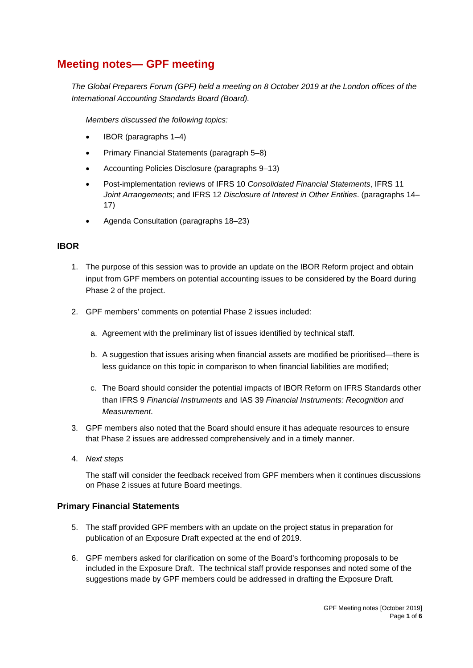# **Meeting notes— GPF meeting**

*The Global Preparers Forum (GPF) held a meeting on 8 October 2019 at the London offices of the International Accounting Standards Board (Board).*

*Members discussed the following topics:*

- IBOR (paragraphs [1–](#page-0-0)4)
- Primary Financial Statements (paragraph 5–8)
- Accounting Policies Disclosure (paragraphs 9–13)
- Post-implementation reviews of IFRS 10 *Consolidated Financial Statements*, IFRS 11 *Joint Arrangements*; and IFRS 12 *Disclosure of Interest in Other Entities*. (paragraphs 14– 17)
- Agenda Consultation (paragraphs 18–23)

## **IBOR**

- <span id="page-0-0"></span>1. The purpose of this session was to provide an update on the IBOR Reform project and obtain input from GPF members on potential accounting issues to be considered by the Board during Phase 2 of the project.
- 2. GPF members' comments on potential Phase 2 issues included:
	- a. Agreement with the preliminary list of issues identified by technical staff.
	- b. A suggestion that issues arising when financial assets are modified be prioritised—there is less guidance on this topic in comparison to when financial liabilities are modified;
	- c. The Board should consider the potential impacts of IBOR Reform on IFRS Standards other than IFRS 9 *Financial Instruments* and IAS 39 *Financial Instruments: Recognition and Measurement*.
- 3. GPF members also noted that the Board should ensure it has adequate resources to ensure that Phase 2 issues are addressed comprehensively and in a timely manner.
- 4. *Next steps*

The staff will consider the feedback received from GPF members when it continues discussions on Phase 2 issues at future Board meetings.

## **Primary Financial Statements**

- 5. The staff provided GPF members with an update on the project status in preparation for publication of an Exposure Draft expected at the end of 2019.
- 6. GPF members asked for clarification on some of the Board's forthcoming proposals to be included in the Exposure Draft. The technical staff provide responses and noted some of the suggestions made by GPF members could be addressed in drafting the Exposure Draft.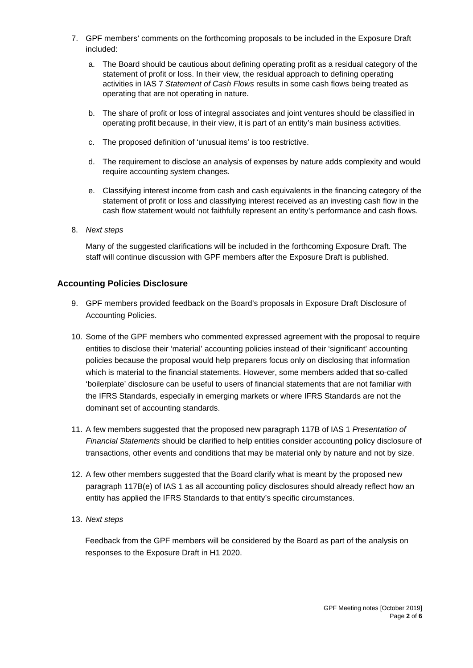- 7. GPF members' comments on the forthcoming proposals to be included in the Exposure Draft included:
	- a. The Board should be cautious about defining operating profit as a residual category of the statement of profit or loss. In their view, the residual approach to defining operating activities in IAS 7 *Statement of Cash Flows* results in some cash flows being treated as operating that are not operating in nature.
	- b. The share of profit or loss of integral associates and joint ventures should be classified in operating profit because, in their view, it is part of an entity's main business activities.
	- c. The proposed definition of 'unusual items' is too restrictive.
	- d. The requirement to disclose an analysis of expenses by nature adds complexity and would require accounting system changes.
	- e. Classifying interest income from cash and cash equivalents in the financing category of the statement of profit or loss and classifying interest received as an investing cash flow in the cash flow statement would not faithfully represent an entity's performance and cash flows.
- 8. *Next steps*

Many of the suggested clarifications will be included in the forthcoming Exposure Draft. The staff will continue discussion with GPF members after the Exposure Draft is published.

## **Accounting Policies Disclosure**

- 9. GPF members provided feedback on the Board's proposals in Exposure Draft Disclosure of Accounting Policies.
- 10. Some of the GPF members who commented expressed agreement with the proposal to require entities to disclose their 'material' accounting policies instead of their 'significant' accounting policies because the proposal would help preparers focus only on disclosing that information which is material to the financial statements. However, some members added that so-called 'boilerplate' disclosure can be useful to users of financial statements that are not familiar with the IFRS Standards, especially in emerging markets or where IFRS Standards are not the dominant set of accounting standards.
- 11. A few members suggested that the proposed new paragraph 117B of IAS 1 *Presentation of Financial Statements* should be clarified to help entities consider accounting policy disclosure of transactions, other events and conditions that may be material only by nature and not by size.
- 12. A few other members suggested that the Board clarify what is meant by the proposed new paragraph 117B(e) of IAS 1 as all accounting policy disclosures should already reflect how an entity has applied the IFRS Standards to that entity's specific circumstances.
- 13. *Next steps*

Feedback from the GPF members will be considered by the Board as part of the analysis on responses to the Exposure Draft in H1 2020.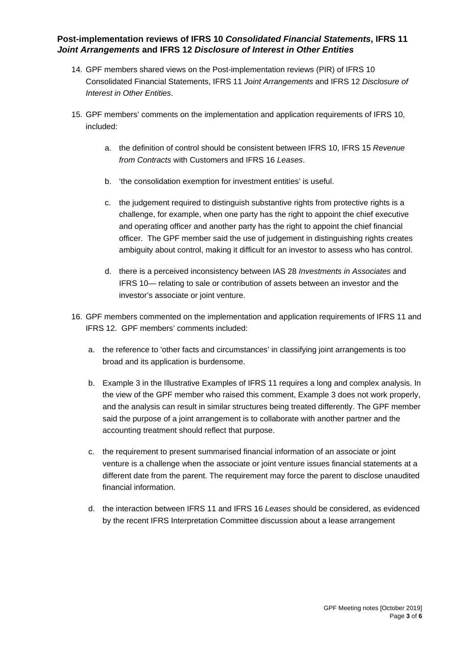## **Post-implementation reviews of IFRS 10** *Consolidated Financial Statements***, IFRS 11**  *Joint Arrangements* **and IFRS 12** *Disclosure of Interest in Other Entities*

- 14. GPF members shared views on the Post-implementation reviews (PIR) of IFRS 10 Consolidated Financial Statements, IFRS 11 *Joint Arrangements* and IFRS 12 *Disclosure of Interest in Other Entities*.
- 15. GPF members' comments on the implementation and application requirements of IFRS 10, included:
	- a. the definition of control should be consistent between IFRS 10, IFRS 15 *Revenue from Contracts* with Customers and IFRS 16 *Leases*.
	- b. 'the consolidation exemption for investment entities' is useful.
	- c. the judgement required to distinguish substantive rights from protective rights is a challenge, for example, when one party has the right to appoint the chief executive and operating officer and another party has the right to appoint the chief financial officer. The GPF member said the use of judgement in distinguishing rights creates ambiguity about control, making it difficult for an investor to assess who has control.
	- d. there is a perceived inconsistency between IAS 28 *Investments in Associates* and IFRS 10— relating to sale or contribution of assets between an investor and the investor's associate or joint venture.
- 16. GPF members commented on the implementation and application requirements of IFRS 11 and IFRS 12. GPF members' comments included:
	- a. the reference to 'other facts and circumstances' in classifying joint arrangements is too broad and its application is burdensome.
	- b. Example 3 in the Illustrative Examples of IFRS 11 requires a long and complex analysis. In the view of the GPF member who raised this comment, Example 3 does not work properly, and the analysis can result in similar structures being treated differently. The GPF member said the purpose of a joint arrangement is to collaborate with another partner and the accounting treatment should reflect that purpose.
	- c. the requirement to present summarised financial information of an associate or joint venture is a challenge when the associate or joint venture issues financial statements at a different date from the parent. The requirement may force the parent to disclose unaudited financial information.
	- d. the interaction between IFRS 11 and IFRS 16 *Leases* should be considered, as evidenced by the recent IFRS Interpretation Committee discussion about a lease arrangement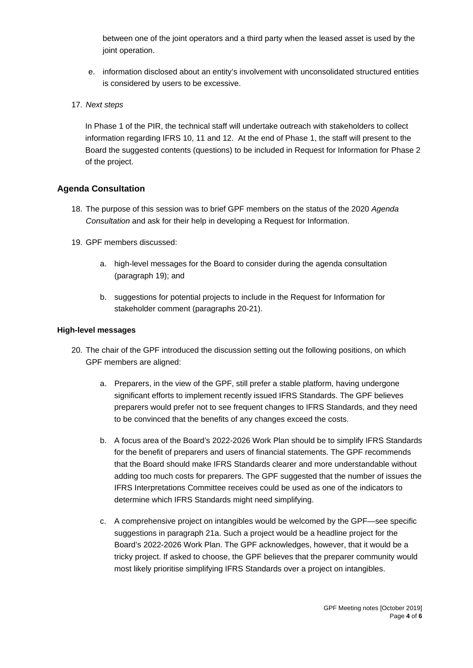between one of the joint operators and a third party when the leased asset is used by the joint operation.

- e. information disclosed about an entity's involvement with unconsolidated structured entities is considered by users to be excessive.
- 17. *Next steps*

In Phase 1 of the PIR, the technical staff will undertake outreach with stakeholders to collect information regarding IFRS 10, 11 and 12. At the end of Phase 1, the staff will present to the Board the suggested contents (questions) to be included in Request for Information for Phase 2 of the project.

## **Agenda Consultation**

- 18. The purpose of this session was to brief GPF members on the status of the 2020 *Agenda Consultation* and ask for their help in developing a Request for Information.
- 19. GPF members discussed:
	- a. high-level messages for the Board to consider during the agenda consultation (paragraph 19); and
	- b. suggestions for potential projects to include in the Request for Information for stakeholder comment (paragraphs 20-21).

#### **High-level messages**

- 20. The chair of the GPF introduced the discussion setting out the following positions, on which GPF members are aligned:
	- a. Preparers, in the view of the GPF, still prefer a stable platform, having undergone significant efforts to implement recently issued IFRS Standards. The GPF believes preparers would prefer not to see frequent changes to IFRS Standards, and they need to be convinced that the benefits of any changes exceed the costs.
	- b. A focus area of the Board's 2022-2026 Work Plan should be to simplify IFRS Standards for the benefit of preparers and users of financial statements. The GPF recommends that the Board should make IFRS Standards clearer and more understandable without adding too much costs for preparers. The GPF suggested that the number of issues the IFRS Interpretations Committee receives could be used as one of the indicators to determine which IFRS Standards might need simplifying.
	- c. A comprehensive project on intangibles would be welcomed by the GPF—see specific suggestions in paragraph 21a. Such a project would be a headline project for the Board's 2022-2026 Work Plan. The GPF acknowledges, however, that it would be a tricky project. If asked to choose, the GPF believes that the preparer community would most likely prioritise simplifying IFRS Standards over a project on intangibles.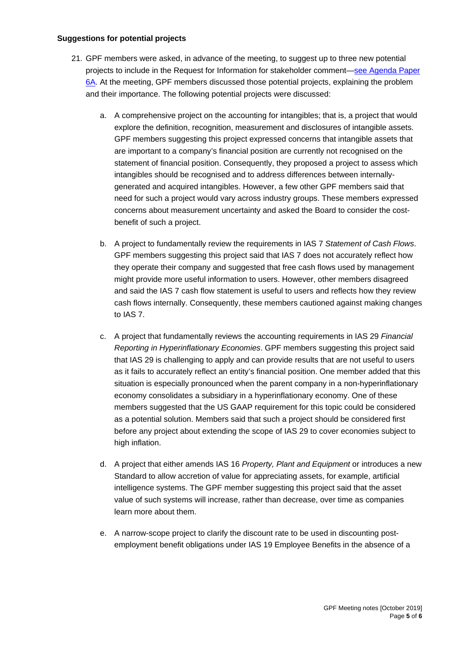## **Suggestions for potential projects**

- 21. GPF members were asked, in advance of the meeting, to suggest up to three new potential projects to include in the Request for Information for stakeholder comment[—see Agenda Paper](https://www.ifrs.org/-/media/feature/meetings/2019/october/gpf/ap6a-suggestions-for-potential-projects.pdf)  [6A.](https://www.ifrs.org/-/media/feature/meetings/2019/october/gpf/ap6a-suggestions-for-potential-projects.pdf) At the meeting, GPF members discussed those potential projects, explaining the problem and their importance. The following potential projects were discussed:
	- a. A comprehensive project on the accounting for intangibles; that is, a project that would explore the definition, recognition, measurement and disclosures of intangible assets. GPF members suggesting this project expressed concerns that intangible assets that are important to a company's financial position are currently not recognised on the statement of financial position. Consequently, they proposed a project to assess which intangibles should be recognised and to address differences between internallygenerated and acquired intangibles. However, a few other GPF members said that need for such a project would vary across industry groups. These members expressed concerns about measurement uncertainty and asked the Board to consider the costbenefit of such a project.
	- b. A project to fundamentally review the requirements in IAS 7 *Statement of Cash Flows*. GPF members suggesting this project said that IAS 7 does not accurately reflect how they operate their company and suggested that free cash flows used by management might provide more useful information to users. However, other members disagreed and said the IAS 7 cash flow statement is useful to users and reflects how they review cash flows internally. Consequently, these members cautioned against making changes to IAS 7.
	- c. A project that fundamentally reviews the accounting requirements in IAS 29 *Financial Reporting in Hyperinflationary Economies*. GPF members suggesting this project said that IAS 29 is challenging to apply and can provide results that are not useful to users as it fails to accurately reflect an entity's financial position. One member added that this situation is especially pronounced when the parent company in a non-hyperinflationary economy consolidates a subsidiary in a hyperinflationary economy. One of these members suggested that the US GAAP requirement for this topic could be considered as a potential solution. Members said that such a project should be considered first before any project about extending the scope of IAS 29 to cover economies subject to high inflation.
	- d. A project that either amends IAS 16 *Property, Plant and Equipment* or introduces a new Standard to allow accretion of value for appreciating assets, for example, artificial intelligence systems. The GPF member suggesting this project said that the asset value of such systems will increase, rather than decrease, over time as companies learn more about them.
	- e. A narrow-scope project to clarify the discount rate to be used in discounting postemployment benefit obligations under IAS 19 Employee Benefits in the absence of a